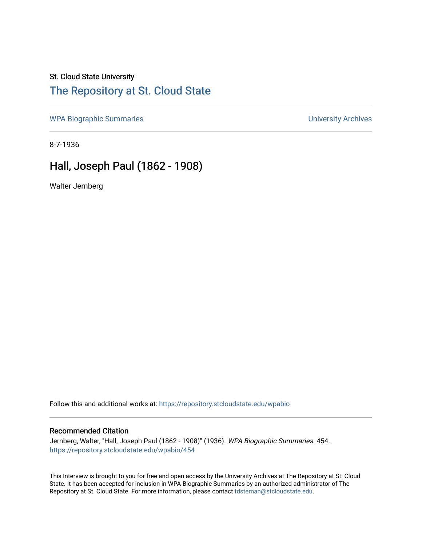### St. Cloud State University

# [The Repository at St. Cloud State](https://repository.stcloudstate.edu/)

[WPA Biographic Summaries](https://repository.stcloudstate.edu/wpabio) **WPA Biographic Summaries University Archives** 

8-7-1936

# Hall, Joseph Paul (1862 - 1908)

Walter Jernberg

Follow this and additional works at: [https://repository.stcloudstate.edu/wpabio](https://repository.stcloudstate.edu/wpabio?utm_source=repository.stcloudstate.edu%2Fwpabio%2F454&utm_medium=PDF&utm_campaign=PDFCoverPages) 

#### Recommended Citation

Jernberg, Walter, "Hall, Joseph Paul (1862 - 1908)" (1936). WPA Biographic Summaries. 454. [https://repository.stcloudstate.edu/wpabio/454](https://repository.stcloudstate.edu/wpabio/454?utm_source=repository.stcloudstate.edu%2Fwpabio%2F454&utm_medium=PDF&utm_campaign=PDFCoverPages) 

This Interview is brought to you for free and open access by the University Archives at The Repository at St. Cloud State. It has been accepted for inclusion in WPA Biographic Summaries by an authorized administrator of The Repository at St. Cloud State. For more information, please contact [tdsteman@stcloudstate.edu.](mailto:tdsteman@stcloudstate.edu)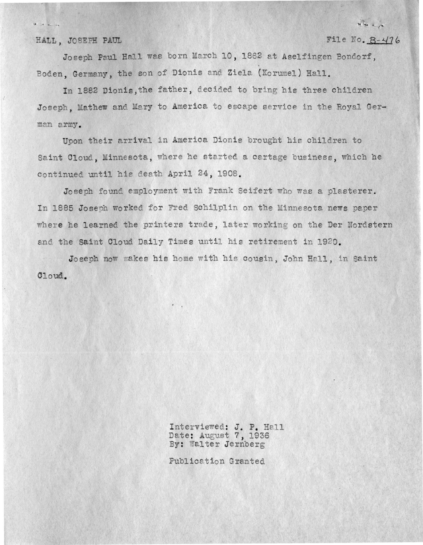HALL, JOSEPH PAUL

File No.  $B-476$ 

re los a

Joseph Paul Hall was born March 10, 1862 at Aselfingen Bondorf. Boden, Germany, the son of Dionis and Ziela (Korumel) Hall.

In 1882 Dionis, the father, decided to bring his three children Joseph, Mathew and Mary to America to escape service in the Royal German army.

Upon their arrival in America Dionis brought his children to Saint Cloud, Minnesota, where he started a cartage business, which he continued until his death April 24, 1908.

Joseph found employment with Frank Seifert who was a plasterer. In 1885 Joseph worked for Fred Schilplin on the Minnesota news paper where he learned the printers trade, later working on the Der Nordstern and the Saint Cloud Daily Times until his retirement in 1920.

Joseph now makes his home with his cousin, John Hall, in Saint Cloud.

> Interviewed: J. P. Hall<br>Date: August 7, 1936 By: Walter Jernberg

Publication Granted